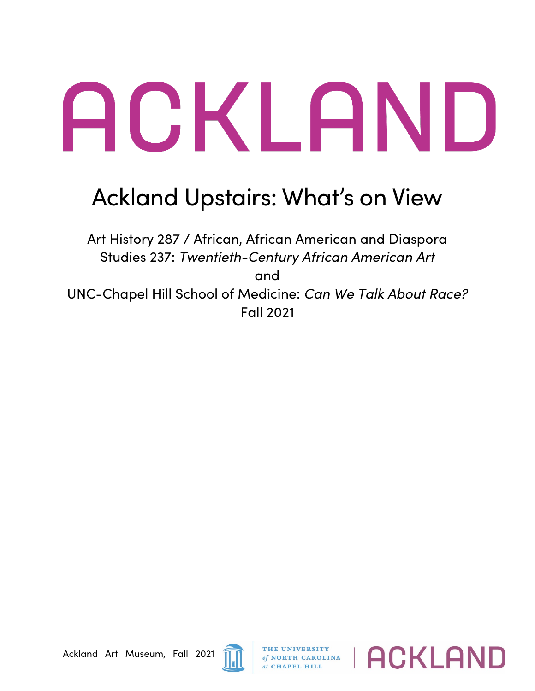## ACKLAND

## Ackland Upstairs: What's on View

Art History 287 / African, African American and Diaspora Studies 237: *Twentieth-Century African American Art* and UNC-Chapel Hill School of Medicine: *Can We Talk About Race?* Fall 2021



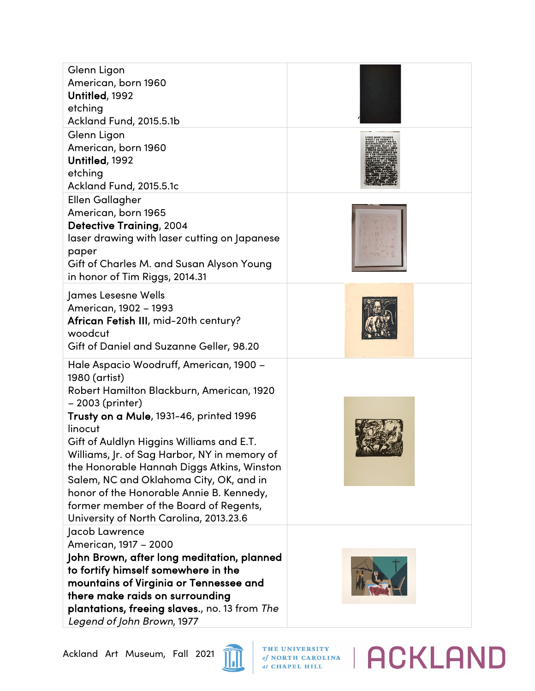| Glenn Ligon<br>American, born 1960<br>Untitled, 1992<br>etching<br>Ackland Fund, 2015.5.1b<br>Glenn Ligon<br>American, born 1960<br>Untitled, 1992<br>etching<br>Ackland Fund, 2015.5.1c                                                                                                                                                                                                                                                                                                               |  |
|--------------------------------------------------------------------------------------------------------------------------------------------------------------------------------------------------------------------------------------------------------------------------------------------------------------------------------------------------------------------------------------------------------------------------------------------------------------------------------------------------------|--|
| <b>Ellen Gallagher</b><br>American, born 1965<br><b>Detective Training, 2004</b><br>laser drawing with laser cutting on Japanese<br>paper<br>Gift of Charles M. and Susan Alyson Young<br>in honor of Tim Riggs, 2014.31                                                                                                                                                                                                                                                                               |  |
| James Lesesne Wells<br>American, 1902 - 1993<br>African Fetish III, mid-20th century?<br>woodcut<br>Gift of Daniel and Suzanne Geller, 98.20                                                                                                                                                                                                                                                                                                                                                           |  |
| Hale Aspacio Woodruff, American, 1900 -<br>1980 (artist)<br>Robert Hamilton Blackburn, American, 1920<br>- 2003 (printer)<br>Trusty on a Mule, 1931-46, printed 1996<br>linocut<br>Gift of Auldlyn Higgins Williams and E.T.<br>Williams, Jr. of Sag Harbor, NY in memory of<br>the Honorable Hannah Diggs Atkins, Winston<br>Salem, NC and Oklahoma City, OK, and in<br>honor of the Honorable Annie B. Kennedy,<br>former member of the Board of Regents,<br>University of North Carolina, 2013.23.6 |  |
| Jacob Lawrence<br>American, 1917 - 2000<br>John Brown, after long meditation, planned<br>to fortify himself somewhere in the<br>mountains of Virginia or Tennessee and<br>there make raids on surrounding<br><b>plantations, freeing slaves.</b> , no. 13 from <i>The</i><br>Legend of John Brown, 1977                                                                                                                                                                                                |  |



## THE UNIVERSITY of NORTH CAROLINA | ACKLAND